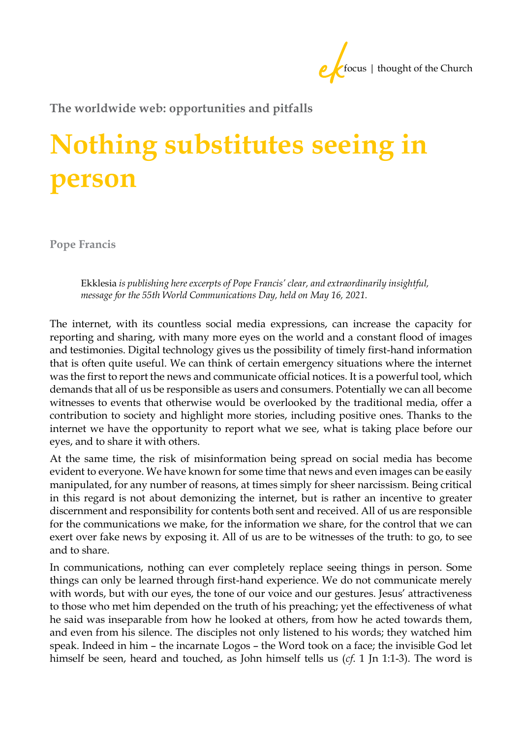

**The worldwide web: opportunities and pitfalls** 

## **Nothing substitutes seeing in person**

**Pope Francis**

Ekklesia *is publishing here excerpts of Pope Francis' clear, and extraordinarily insightful, message for the 55th World Communications Day, held on May 16, 2021.* 

The internet, with its countless social media expressions, can increase the capacity for reporting and sharing, with many more eyes on the world and a constant flood of images and testimonies. Digital technology gives us the possibility of timely first-hand information that is often quite useful. We can think of certain emergency situations where the internet was the first to report the news and communicate official notices. It is a powerful tool, which demands that all of us be responsible as users and consumers. Potentially we can all become witnesses to events that otherwise would be overlooked by the traditional media, offer a contribution to society and highlight more stories, including positive ones. Thanks to the internet we have the opportunity to report what we see, what is taking place before our eyes, and to share it with others.

At the same time, the risk of misinformation being spread on social media has become evident to everyone. We have known for some time that news and even images can be easily manipulated, for any number of reasons, at times simply for sheer narcissism. Being critical in this regard is not about demonizing the internet, but is rather an incentive to greater discernment and responsibility for contents both sent and received. All of us are responsible for the communications we make, for the information we share, for the control that we can exert over fake news by exposing it. All of us are to be witnesses of the truth: to go, to see and to share.

In communications, nothing can ever completely replace seeing things in person. Some things can only be learned through first-hand experience. We do not communicate merely with words, but with our eyes, the tone of our voice and our gestures. Jesus' attractiveness to those who met him depended on the truth of his preaching; yet the effectiveness of what he said was inseparable from how he looked at others, from how he acted towards them, and even from his silence. The disciples not only listened to his words; they watched him speak. Indeed in him – the incarnate Logos – the Word took on a face; the invisible God let himself be seen, heard and touched, as John himself tells us (*cf*. 1 Jn 1:1-3). The word is